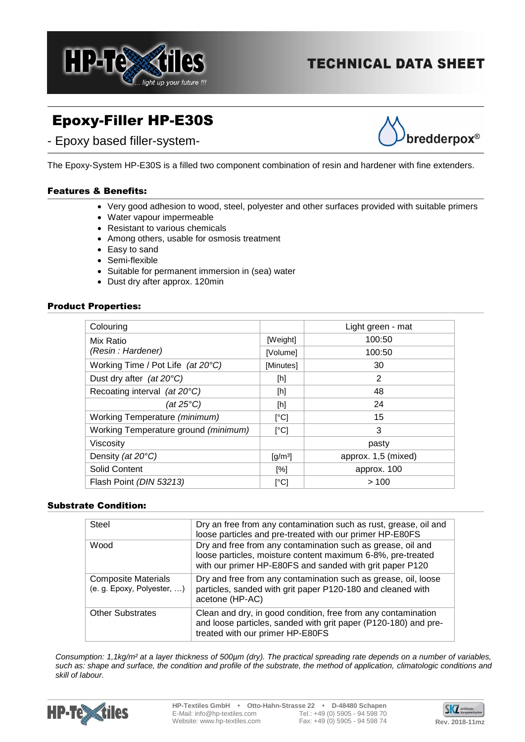

# **TECHNICAL DATA SHEET**

# Epoxy-Filler HP-E30S





The Epoxy-System HP-E30S is a filled two component combination of resin and hardener with fine extenders.

## Features & Benefits:

- Very good adhesion to wood, steel, polyester and other surfaces provided with suitable primers
- Water vapour impermeable
- Resistant to various chemicals
- Among others, usable for osmosis treatment
- Easy to sand
- Semi-flexible
- Suitable for permanent immersion in (sea) water
- Dust dry after approx. 120min

### Product Properties:

| Colouring                            |                              | Light green - mat   |
|--------------------------------------|------------------------------|---------------------|
| Mix Ratio                            | [Weight]                     | 100:50              |
| (Resin: Hardener)                    | [Volume]                     | 100:50              |
| Working Time / Pot Life (at 20°C)    | [Minutes]                    | 30                  |
| Dust dry after (at $20^{\circ}$ C)   | [h]                          | 2                   |
| Recoating interval (at 20°C)         | [h]                          | 48                  |
| (at 25 $°C$ )                        | [h]                          | 24                  |
| Working Temperature (minimum)        | [°C]                         | 15                  |
| Working Temperature ground (minimum) | [°C]                         | 3                   |
| Viscosity                            |                              | pasty               |
| Density (at 20°C)                    | $\left[\frac{q}{m^3}\right]$ | approx. 1,5 (mixed) |
| <b>Solid Content</b>                 | [%]                          | approx. 100         |
| Flash Point (DIN 53213)              | [°C]                         | >100                |

## Substrate Condition:

| Steel                                                    | Dry an free from any contamination such as rust, grease, oil and<br>loose particles and pre-treated with our primer HP-E80FS                                                           |
|----------------------------------------------------------|----------------------------------------------------------------------------------------------------------------------------------------------------------------------------------------|
| Wood                                                     | Dry and free from any contamination such as grease, oil and<br>loose particles, moisture content maximum 6-8%, pre-treated<br>with our primer HP-E80FS and sanded with grit paper P120 |
| <b>Composite Materials</b><br>(e. g. Epoxy, Polyester, ) | Dry and free from any contamination such as grease, oil, loose<br>particles, sanded with grit paper P120-180 and cleaned with<br>acetone (HP-AC)                                       |
| <b>Other Substrates</b>                                  | Clean and dry, in good condition, free from any contamination<br>and loose particles, sanded with grit paper (P120-180) and pre-<br>treated with our primer HP-E80FS                   |

*Consumption: 1,1kg/m² at a layer thickness of 500µm (dry). The practical spreading rate depends on a number of variables, such as: shape and surface, the condition and profile of the substrate, the method of application, climatologic conditions and skill of labour.*